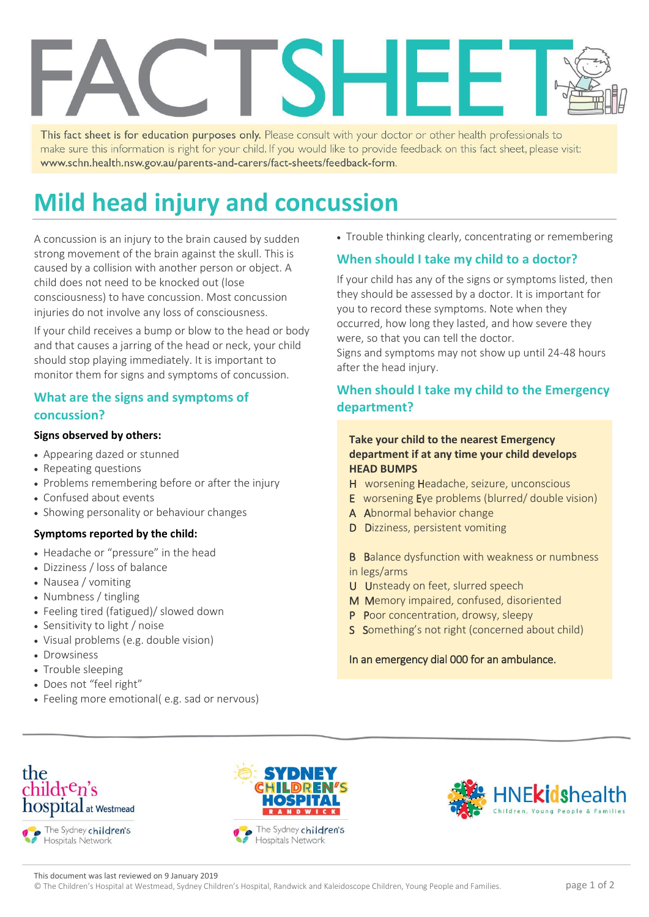This fact sheet is for education purposes only. Please consult with your doctor or other health professionals to make sure this information is right for your child. If you would like to provide feedback on this fact sheet, please visit: www.schn.health.nsw.gov.au/parents-and-carers/fact-sheets/feedback-form.

# **Mild head injury and concussion**

A concussion is an injury to the brain caused by sudden strong movement of the brain against the skull. This is caused by a collision with another person or object. A child does not need to be knocked out (lose consciousness) to have concussion. Most concussion injuries do not involve any loss of consciousness.

If your child receives a bump or blow to the head or body and that causes a jarring of the head or neck, your child should stop playing immediately. It is important to monitor them for signs and symptoms of concussion.

#### **What are the signs and symptoms of concussion?**

#### **Signs observed by others:**

- Appearing dazed or stunned
- Repeating questions
- Problems remembering before or after the injury
- Confused about events
- Showing personality or behaviour changes

#### **Symptoms reported by the child:**

- Headache or "pressure" in the head
- Dizziness / loss of balance
- Nausea / vomiting
- Numbness / tingling
- Feeling tired (fatigued)/ slowed down
- Sensitivity to light / noise
- Visual problems (e.g. double vision)
- **Drowsiness**
- Trouble sleeping
- Does not "feel right"
- Feeling more emotional( e.g. sad or nervous)

• Trouble thinking clearly, concentrating or remembering

### **When should I take my child to a doctor?**

If your child has any of the signs or symptoms listed, then they should be assessed by a doctor. It is important for you to record these symptoms. Note when they occurred, how long they lasted, and how severe they were, so that you can tell the doctor. Signs and symptoms may not show up until 24-48 hours after the head injury.

#### **When should I take my child to the Emergency department?**

#### **Take your child to the nearest Emergency department if at any time your child develops HEAD BUMPS**

- H worsening Headache, seizure, unconscious
- E worsening Eye problems (blurred/ double vision)
- A Abnormal behavior change
- D Dizziness, persistent vomiting

B Balance dysfunction with weakness or numbness in legs/arms

- U Unsteady on feet, slurred speech
- M Memory impaired, confused, disoriented
- P Poor concentration, drowsy, sleepy
- S Something's not right (concerned about child)

#### In an emergency dial 000 for an ambulance.



Hospitals Network